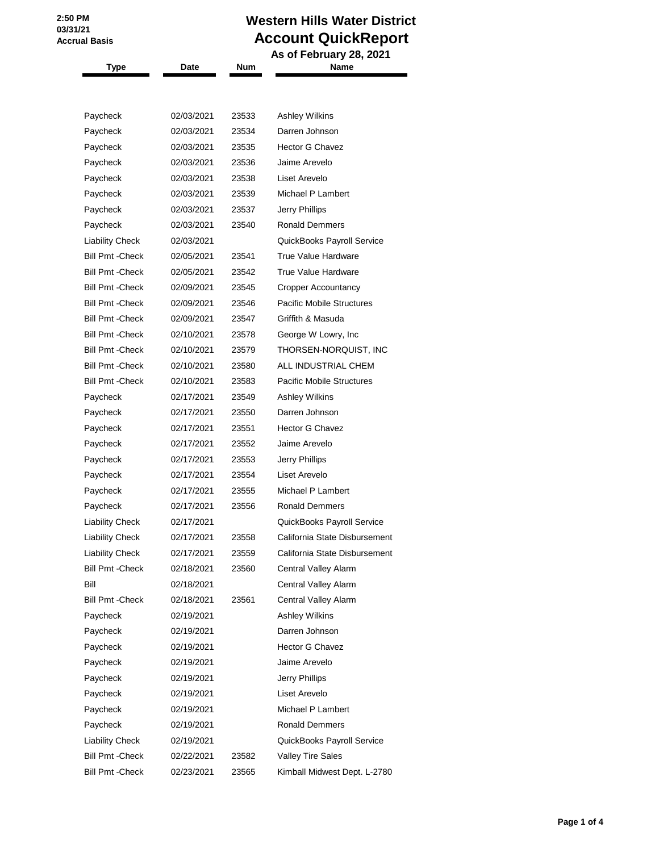## **Western Hills Water District Account QuickReport**

| <b>Type</b>             | Date       | Num   | As of February 28, 2021<br>Name  |
|-------------------------|------------|-------|----------------------------------|
|                         |            |       |                                  |
|                         |            |       |                                  |
| Paycheck                | 02/03/2021 | 23533 | <b>Ashley Wilkins</b>            |
| Paycheck                | 02/03/2021 | 23534 | Darren Johnson                   |
| Paycheck                | 02/03/2021 | 23535 | Hector G Chavez                  |
| Paycheck                | 02/03/2021 | 23536 | Jaime Arevelo                    |
| Paycheck                | 02/03/2021 | 23538 | Liset Arevelo                    |
| Paycheck                | 02/03/2021 | 23539 | Michael P Lambert                |
| Paycheck                | 02/03/2021 | 23537 | Jerry Phillips                   |
| Paycheck                | 02/03/2021 | 23540 | <b>Ronald Demmers</b>            |
| <b>Liability Check</b>  | 02/03/2021 |       | QuickBooks Payroll Service       |
| <b>Bill Pmt - Check</b> | 02/05/2021 | 23541 | True Value Hardware              |
| <b>Bill Pmt - Check</b> | 02/05/2021 | 23542 | True Value Hardware              |
| <b>Bill Pmt - Check</b> | 02/09/2021 | 23545 | Cropper Accountancy              |
| <b>Bill Pmt - Check</b> | 02/09/2021 | 23546 | <b>Pacific Mobile Structures</b> |
| <b>Bill Pmt - Check</b> | 02/09/2021 | 23547 | Griffith & Masuda                |
| <b>Bill Pmt - Check</b> | 02/10/2021 | 23578 | George W Lowry, Inc.             |
| <b>Bill Pmt - Check</b> | 02/10/2021 | 23579 | THORSEN-NORQUIST, INC            |
| <b>Bill Pmt - Check</b> | 02/10/2021 | 23580 | ALL INDUSTRIAL CHEM              |
| <b>Bill Pmt - Check</b> | 02/10/2021 | 23583 | <b>Pacific Mobile Structures</b> |
| Paycheck                | 02/17/2021 | 23549 | <b>Ashley Wilkins</b>            |
| Paycheck                | 02/17/2021 | 23550 | Darren Johnson                   |
| Paycheck                | 02/17/2021 | 23551 | <b>Hector G Chavez</b>           |
| Paycheck                | 02/17/2021 | 23552 | Jaime Arevelo                    |
| Paycheck                | 02/17/2021 | 23553 | Jerry Phillips                   |
| Paycheck                | 02/17/2021 | 23554 | Liset Arevelo                    |
| Paycheck                | 02/17/2021 | 23555 | Michael P Lambert                |
| Paycheck                | 02/17/2021 | 23556 | <b>Ronald Demmers</b>            |
| <b>Liability Check</b>  | 02/17/2021 |       | QuickBooks Payroll Service       |
| <b>Liability Check</b>  | 02/17/2021 | 23558 | California State Disbursement    |
| <b>Liability Check</b>  | 02/17/2021 | 23559 | California State Disbursement    |
| <b>Bill Pmt - Check</b> | 02/18/2021 | 23560 | Central Valley Alarm             |
| Bill                    | 02/18/2021 |       | Central Valley Alarm             |
| <b>Bill Pmt - Check</b> | 02/18/2021 | 23561 | Central Valley Alarm             |
| Paycheck                | 02/19/2021 |       | <b>Ashley Wilkins</b>            |
| Paycheck                | 02/19/2021 |       | Darren Johnson                   |
| Paycheck                | 02/19/2021 |       | <b>Hector G Chavez</b>           |
| Paycheck                | 02/19/2021 |       | Jaime Arevelo                    |
| Paycheck                | 02/19/2021 |       | Jerry Phillips                   |
| Paycheck                | 02/19/2021 |       | Liset Arevelo                    |
| Paycheck                | 02/19/2021 |       | Michael P Lambert                |
| Paycheck                | 02/19/2021 |       | <b>Ronald Demmers</b>            |
| Liability Check         | 02/19/2021 |       | QuickBooks Payroll Service       |
| <b>Bill Pmt - Check</b> | 02/22/2021 | 23582 | <b>Valley Tire Sales</b>         |
| <b>Bill Pmt - Check</b> | 02/23/2021 | 23565 | Kimball Midwest Dept. L-2780     |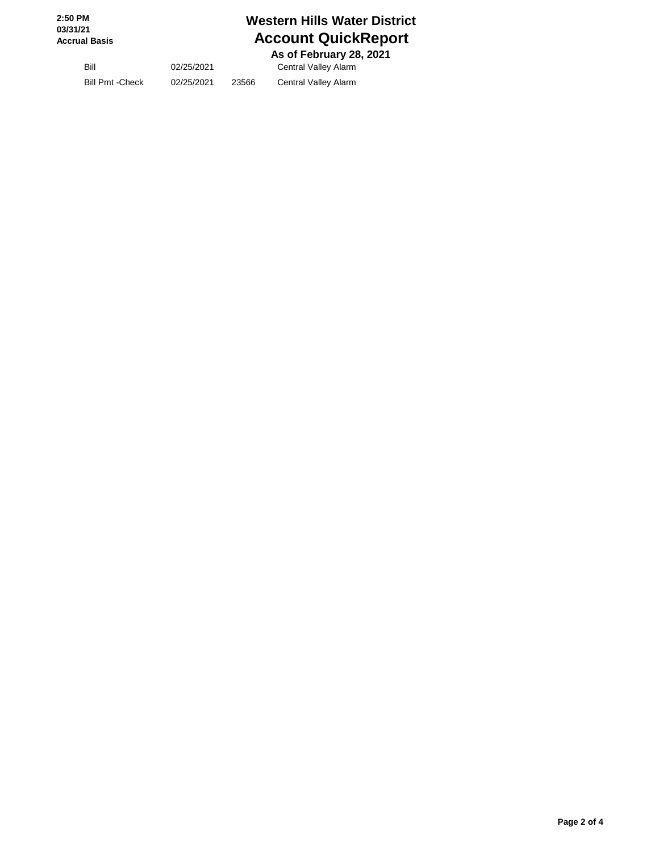## **Western Hills Water District Account QuickReport**

 **As of February 28, 2021**

Bill 02/25/2021 Central Valley Alarm Bill Pmt -Check 02/25/2021 23566 Central Valley Alarm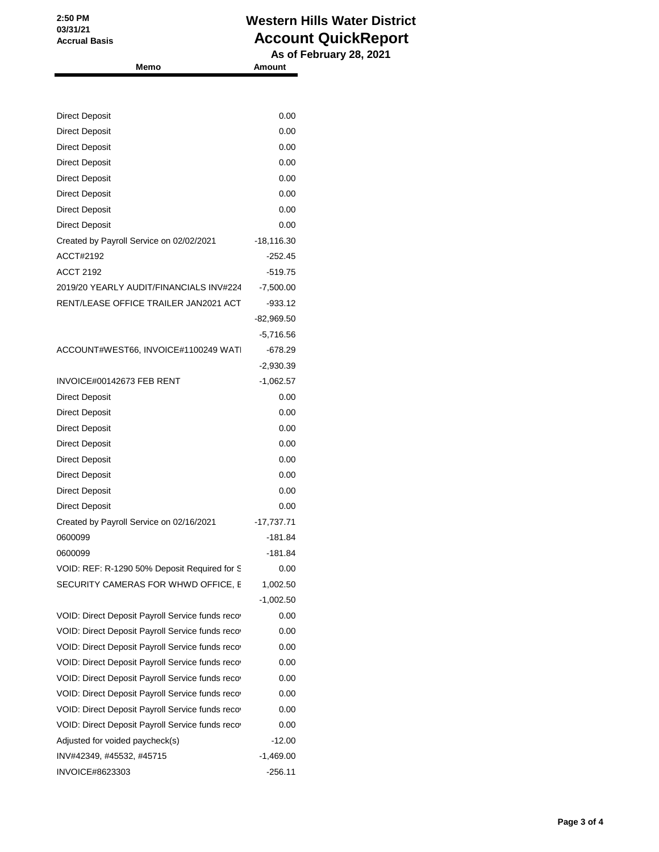## **Western Hills Water District Account QuickReport**

 **As of February 28, 2021 Memo Amount**

| <b>Direct Deposit</b>                            | 0.00         |
|--------------------------------------------------|--------------|
| <b>Direct Deposit</b>                            | 0.00         |
| <b>Direct Deposit</b>                            | 0.00         |
| <b>Direct Deposit</b>                            | 0.00         |
| <b>Direct Deposit</b>                            | 0.00         |
| <b>Direct Deposit</b>                            | 0.00         |
| <b>Direct Deposit</b>                            | 0.00         |
| <b>Direct Deposit</b>                            | 0.00         |
| Created by Payroll Service on 02/02/2021         | $-18,116.30$ |
| ACCT#2192                                        | $-252.45$    |
| ACCT 2192                                        | $-519.75$    |
| 2019/20 YEARLY AUDIT/FINANCIALS INV#224          | $-7,500.00$  |
| RENT/LEASE OFFICE TRAILER JAN2021 ACT            | $-933.12$    |
|                                                  | $-82,969.50$ |
|                                                  | $-5,716.56$  |
| ACCOUNT#WEST66, INVOICE#1100249 WATI             | $-678.29$    |
|                                                  | $-2,930.39$  |
| INVOICE#00142673 FEB RENT                        | $-1,062.57$  |
| <b>Direct Deposit</b>                            | 0.00         |
| <b>Direct Deposit</b>                            | 0.00         |
| <b>Direct Deposit</b>                            | 0.00         |
| <b>Direct Deposit</b>                            | 0.00         |
| <b>Direct Deposit</b>                            | 0.00         |
| <b>Direct Deposit</b>                            | 0.00         |
| <b>Direct Deposit</b>                            | 0.00         |
| <b>Direct Deposit</b>                            | 0.00         |
| Created by Payroll Service on 02/16/2021         | $-17,737.71$ |
| 0600099                                          | $-181.84$    |
| 0600099                                          | $-181.84$    |
| VOID: REF: R-1290 50% Deposit Required for S     | 0.00         |
| SECURITY CAMERAS FOR WHWD OFFICE, E              | 1,002.50     |
|                                                  | $-1,002.50$  |
| VOID: Direct Deposit Payroll Service funds recov | 0.00         |
| VOID: Direct Deposit Payroll Service funds recov | 0.00         |
| VOID: Direct Deposit Payroll Service funds recov | 0.00         |
| VOID: Direct Deposit Payroll Service funds recov | 0.00         |
| VOID: Direct Deposit Payroll Service funds recov | 0.00         |
| VOID: Direct Deposit Payroll Service funds recov | 0.00         |
| VOID: Direct Deposit Payroll Service funds recov | 0.00         |
| VOID: Direct Deposit Payroll Service funds recov | 0.00         |
| Adjusted for voided paycheck(s)                  | $-12.00$     |
| INV#42349, #45532, #45715                        | $-1,469.00$  |
| INVOICE#8623303                                  | $-256.11$    |